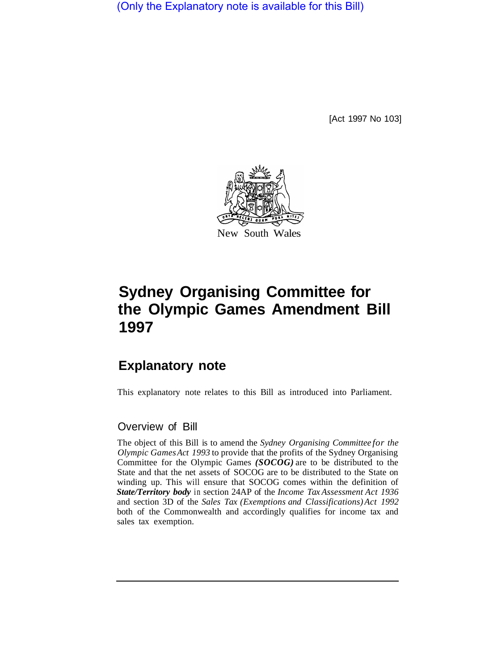(Only the Explanatory note is available for this Bill)

[Act 1997 No 103]



# **Sydney Organising Committee for the Olympic Games Amendment Bill 1997**

## **Explanatory note**

This explanatory note relates to this Bill as introduced into Parliament.

### Overview of Bill

The object of this Bill is to amend the *Sydney Organising Committee for the Olympic Games Act 1993* to provide that the profits of the Sydney Organising Committee for the Olympic Games *(SOCOG)* are to be distributed to the State and that the net assets of SOCOG are to be distributed to the State on winding up. This will ensure that SOCOG comes within the definition of *State/Territory body* in section 24AP of the *Income Tax Assessment Act 1936*  and section 3D of the *Sales Tax (Exemptions and Classifications) Act 1992*  both of the Commonwealth and accordingly qualifies for income tax and sales tax exemption.